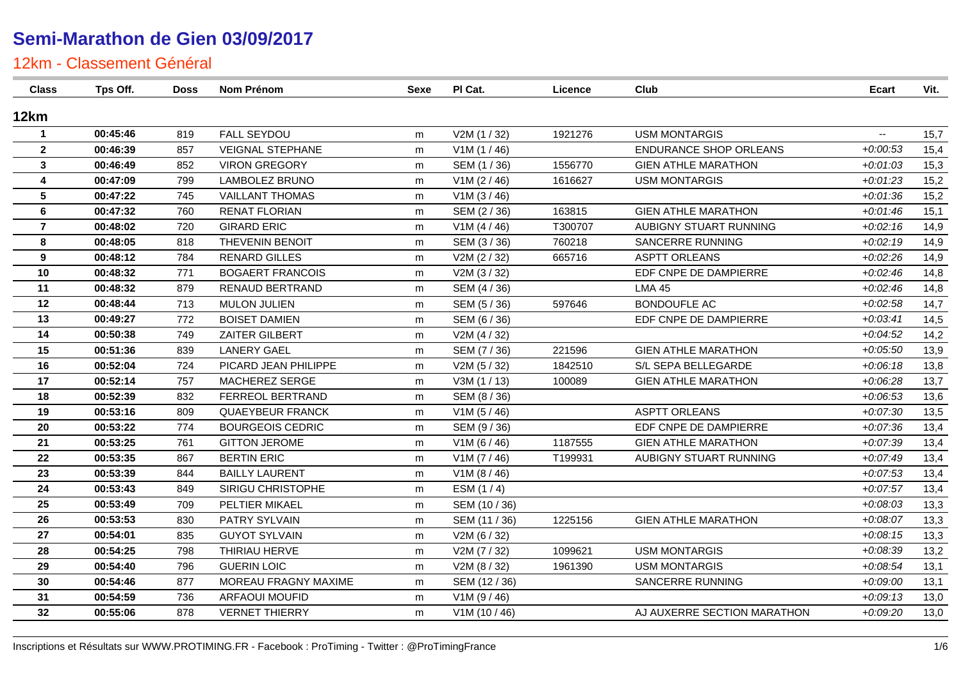| <b>Class</b>   | Tps Off. | <b>Doss</b> | Nom Prénom              | Sexe | PI Cat.                     | Licence | Club                          | <b>Ecart</b>             | Vit. |
|----------------|----------|-------------|-------------------------|------|-----------------------------|---------|-------------------------------|--------------------------|------|
| 12km           |          |             |                         |      |                             |         |                               |                          |      |
| $\mathbf{1}$   | 00:45:46 | 819         | <b>FALL SEYDOU</b>      | m    | V2M (1 / 32)                | 1921276 | <b>USM MONTARGIS</b>          | $\overline{\phantom{a}}$ | 15,7 |
| $\mathbf{2}$   | 00:46:39 | 857         | <b>VEIGNAL STEPHANE</b> | m    | V1M (1 / 46)                |         | <b>ENDURANCE SHOP ORLEANS</b> | $+0.00.53$               | 15,4 |
| $\mathbf{3}$   | 00:46:49 | 852         | <b>VIRON GREGORY</b>    | m    | SEM (1 / 36)                | 1556770 | <b>GIEN ATHLE MARATHON</b>    | $+0.01.03$               | 15,3 |
| 4              | 00:47:09 | 799         | <b>LAMBOLEZ BRUNO</b>   | m    | V1M (2 / 46)                | 1616627 | <b>USM MONTARGIS</b>          | $+0:01:23$               | 15,2 |
| 5              | 00:47:22 | 745         | <b>VAILLANT THOMAS</b>  | m    | V1M (3 / 46)                |         |                               | $+0.01.36$               | 15,2 |
| 6              | 00:47:32 | 760         | <b>RENAT FLORIAN</b>    | m    | SEM (2/36)                  | 163815  | <b>GIEN ATHLE MARATHON</b>    | $+0.01:46$               | 15,1 |
| $\overline{7}$ | 00:48:02 | 720         | <b>GIRARD ERIC</b>      | m    | V1M (4 / 46)                | T300707 | AUBIGNY STUART RUNNING        | $+0.02:16$               | 14,9 |
| 8              | 00:48:05 | 818         | THEVENIN BENOIT         | m    | SEM (3/36)                  | 760218  | SANCERRE RUNNING              | $+0.02:19$               | 14,9 |
| 9              | 00:48:12 | 784         | <b>RENARD GILLES</b>    | m    | V2M (2 / 32)                | 665716  | <b>ASPTT ORLEANS</b>          | $+0.02:26$               | 14,9 |
| 10             | 00:48:32 | 771         | <b>BOGAERT FRANCOIS</b> | m    | V2M (3/32)                  |         | EDF CNPE DE DAMPIERRE         | $+0.02:46$               | 14,8 |
| 11             | 00:48:32 | 879         | RENAUD BERTRAND         | m    | SEM (4/36)                  |         | <b>LMA 45</b>                 | $+0.02:46$               | 14,8 |
| 12             | 00:48:44 | 713         | <b>MULON JULIEN</b>     | m    | SEM (5/36)                  | 597646  | <b>BONDOUFLE AC</b>           | $+0.02:58$               | 14,7 |
| 13             | 00:49:27 | 772         | <b>BOISET DAMIEN</b>    | m    | SEM (6 / 36)                |         | EDF CNPE DE DAMPIERRE         | $+0.03:41$               | 14,5 |
| 14             | 00:50:38 | 749         | ZAITER GILBERT          | m    | V2M (4 / 32)                |         |                               | $+0.04:52$               | 14,2 |
| 15             | 00:51:36 | 839         | <b>LANERY GAEL</b>      | m    | SEM (7 / 36)                | 221596  | <b>GIEN ATHLE MARATHON</b>    | $+0.05.50$               | 13,9 |
| 16             | 00:52:04 | 724         | PICARD JEAN PHILIPPE    | m    | V2M (5 / 32)                | 1842510 | S/L SEPA BELLEGARDE           | $+0.06:18$               | 13,8 |
| 17             | 00:52:14 | 757         | MACHEREZ SERGE          | m    | V3M (1 / 13)                | 100089  | <b>GIEN ATHLE MARATHON</b>    | $+0.06:28$               | 13,7 |
| 18             | 00:52:39 | 832         | FERREOL BERTRAND        | m    | SEM (8 / 36)                |         |                               | $+0.06.53$               | 13,6 |
| 19             | 00:53:16 | 809         | <b>QUAEYBEUR FRANCK</b> | m    | V1M(5/46)                   |         | <b>ASPTT ORLEANS</b>          | $+0.07:30$               | 13,5 |
| 20             | 00:53:22 | 774         | <b>BOURGEOIS CEDRIC</b> | m    | SEM (9/36)                  |         | EDF CNPE DE DAMPIERRE         | $+0.07.36$               | 13,4 |
| 21             | 00:53:25 | 761         | <b>GITTON JEROME</b>    | m    | V1M (6 / 46)                | 1187555 | <b>GIEN ATHLE MARATHON</b>    | $+0.07.39$               | 13,4 |
| 22             | 00:53:35 | 867         | <b>BERTIN ERIC</b>      | m    | V1M (7 / 46)                | T199931 | AUBIGNY STUART RUNNING        | $+0.07:49$               | 13,4 |
| 23             | 00:53:39 | 844         | <b>BAILLY LAURENT</b>   | m    | V <sub>1</sub> M ( $8/46$ ) |         |                               | $+0.07:53$               | 13,4 |
| 24             | 00:53:43 | 849         | SIRIGU CHRISTOPHE       | m    | ESM $(1/4)$                 |         |                               | $+0.07:57$               | 13,4 |
| 25             | 00:53:49 | 709         | PELTIER MIKAEL          | m    | SEM (10 / 36)               |         |                               | $+0.08.03$               | 13,3 |
| 26             | 00:53:53 | 830         | PATRY SYLVAIN           | m    | SEM (11 / 36)               | 1225156 | <b>GIEN ATHLE MARATHON</b>    | $+0.08:07$               | 13,3 |
| 27             | 00:54:01 | 835         | <b>GUYOT SYLVAIN</b>    | m    | V2M (6 / 32)                |         |                               | $+0.08:15$               | 13,3 |
| 28             | 00:54:25 | 798         | THIRIAU HERVE           | m    | V2M (7/32)                  | 1099621 | <b>USM MONTARGIS</b>          | $+0.08.39$               | 13,2 |
| 29             | 00:54:40 | 796         | <b>GUERIN LOIC</b>      | m    | V2M (8 / 32)                | 1961390 | <b>USM MONTARGIS</b>          | $+0.08:54$               | 13,1 |
| 30             | 00:54:46 | 877         | MOREAU FRAGNY MAXIME    | m    | SEM (12 / 36)               |         | SANCERRE RUNNING              | $+0.09:00$               | 13,1 |
| 31             | 00:54:59 | 736         | <b>ARFAOUI MOUFID</b>   | m    | V1M (9 / 46)                |         |                               | $+0.09:13$               | 13,0 |
| 32             | 00:55:06 | 878         | <b>VERNET THIERRY</b>   | m    | V1M(10/46)                  |         | AJ AUXERRE SECTION MARATHON   | $+0.09:20$               | 13,0 |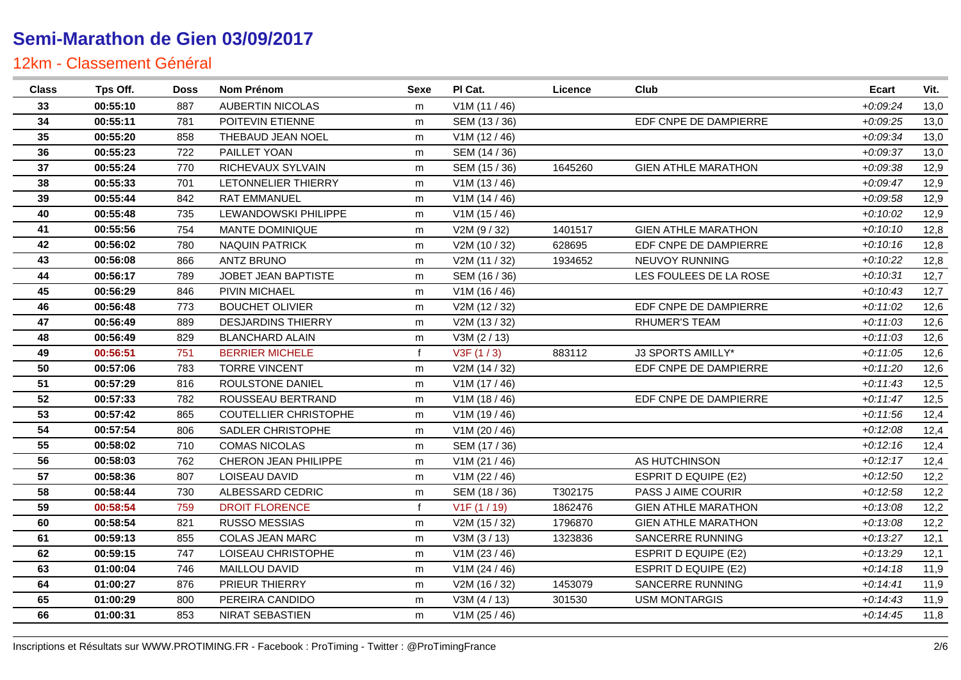| <b>Class</b> | Tps Off. | Doss | Nom Prénom                   | Sexe         | PI Cat.       | Licence | Club                        | <b>Ecart</b> | Vit. |
|--------------|----------|------|------------------------------|--------------|---------------|---------|-----------------------------|--------------|------|
| 33           | 00:55:10 | 887  | <b>AUBERTIN NICOLAS</b>      | m            | V1M (11 / 46) |         |                             | $+0.09:24$   | 13,0 |
| 34           | 00:55:11 | 781  | POITEVIN ETIENNE             | m            | SEM (13/36)   |         | EDF CNPE DE DAMPIERRE       | $+0.09:25$   | 13,0 |
| 35           | 00:55:20 | 858  | THEBAUD JEAN NOEL            | m            | V1M(12/46)    |         |                             | $+0.09334$   | 13,0 |
| 36           | 00:55:23 | 722  | PAILLET YOAN                 | m            | SEM (14 / 36) |         |                             | $+0.0937$    | 13,0 |
| 37           | 00:55:24 | 770  | RICHEVAUX SYLVAIN            | m            | SEM (15 / 36) | 1645260 | <b>GIEN ATHLE MARATHON</b>  | $+0.09338$   | 12,9 |
| 38           | 00:55:33 | 701  | LETONNELIER THIERRY          | m            | V1M(13/46)    |         |                             | $+0.09:47$   | 12,9 |
| 39           | 00:55:44 | 842  | <b>RAT EMMANUEL</b>          | m            | V1M (14/46)   |         |                             | $+0.09.58$   | 12,9 |
| 40           | 00:55:48 | 735  | LEWANDOWSKI PHILIPPE         | m            | V1M(15/46)    |         |                             | $+0:10:02$   | 12,9 |
| 41           | 00:55:56 | 754  | MANTE DOMINIQUE              | m            | V2M (9 / 32)  | 1401517 | <b>GIEN ATHLE MARATHON</b>  | $+0:10:10$   | 12,8 |
| 42           | 00:56:02 | 780  | <b>NAQUIN PATRICK</b>        | m            | V2M (10 / 32) | 628695  | EDF CNPE DE DAMPIERRE       | $+0:10:16$   | 12,8 |
| 43           | 00:56:08 | 866  | <b>ANTZ BRUNO</b>            | m            | V2M (11 / 32) | 1934652 | NEUVOY RUNNING              | $+0.10:22$   | 12,8 |
| 44           | 00:56:17 | 789  | <b>JOBET JEAN BAPTISTE</b>   | m            | SEM (16 / 36) |         | LES FOULEES DE LA ROSE      | $+0.10.31$   | 12,7 |
| 45           | 00:56:29 | 846  | PIVIN MICHAEL                | m            | V1M (16 / 46) |         |                             | $+0:10:43$   | 12,7 |
| 46           | 00:56:48 | 773  | <b>BOUCHET OLIVIER</b>       | m            | V2M (12 / 32) |         | EDF CNPE DE DAMPIERRE       | $+0:11:02$   | 12,6 |
| 47           | 00:56:49 | 889  | <b>DESJARDINS THIERRY</b>    | m            | V2M (13 / 32) |         | <b>RHUMER'S TEAM</b>        | $+0:11:03$   | 12,6 |
| 48           | 00:56:49 | 829  | <b>BLANCHARD ALAIN</b>       | m            | V3M (2 / 13)  |         |                             | $+0:11:03$   | 12,6 |
| 49           | 00:56:51 | 751  | <b>BERRIER MICHELE</b>       | f            | V3F(1/3)      | 883112  | J3 SPORTS AMILLY*           | $+0:11:05$   | 12,6 |
| 50           | 00:57:06 | 783  | <b>TORRE VINCENT</b>         | m            | V2M (14 / 32) |         | EDF CNPE DE DAMPIERRE       | $+0:11:20$   | 12,6 |
| 51           | 00:57:29 | 816  | ROULSTONE DANIEL             | m            | V1M(17/46)    |         |                             | $+0:11:43$   | 12,5 |
| 52           | 00:57:33 | 782  | ROUSSEAU BERTRAND            | m            | V1M(18/46)    |         | EDF CNPE DE DAMPIERRE       | $+0:11:47$   | 12,5 |
| 53           | 00:57:42 | 865  | <b>COUTELLIER CHRISTOPHE</b> | m            | V1M (19 / 46) |         |                             | $+0:11:56$   | 12,4 |
| 54           | 00:57:54 | 806  | SADLER CHRISTOPHE            | m            | V1M (20 / 46) |         |                             | $+0:12:08$   | 12,4 |
| 55           | 00:58:02 | 710  | <b>COMAS NICOLAS</b>         | m            | SEM (17 / 36) |         |                             | $+0:12:16$   | 12,4 |
| 56           | 00:58:03 | 762  | CHERON JEAN PHILIPPE         | m            | V1M (21 / 46) |         | AS HUTCHINSON               | $+0:12:17$   | 12,4 |
| 57           | 00:58:36 | 807  | LOISEAU DAVID                | m            | V1M (22 / 46) |         | <b>ESPRIT D EQUIPE (E2)</b> | $+0:12:50$   | 12,2 |
| 58           | 00:58:44 | 730  | ALBESSARD CEDRIC             | m            | SEM (18 / 36) | T302175 | PASS J AIME COURIR          | $+0:12:58$   | 12,2 |
| 59           | 00:58:54 | 759  | <b>DROIT FLORENCE</b>        | $\mathbf{f}$ | V1F(1/19)     | 1862476 | <b>GIEN ATHLE MARATHON</b>  | $+0:13:08$   | 12,2 |
| 60           | 00:58:54 | 821  | <b>RUSSO MESSIAS</b>         | m            | V2M (15 / 32) | 1796870 | <b>GIEN ATHLE MARATHON</b>  | $+0:13:08$   | 12,2 |
| 61           | 00:59:13 | 855  | <b>COLAS JEAN MARC</b>       | m            | V3M(3/13)     | 1323836 | SANCERRE RUNNING            | $+0:13:27$   | 12,1 |
| 62           | 00:59:15 | 747  | LOISEAU CHRISTOPHE           | m            | V1M(23/46)    |         | <b>ESPRIT D EQUIPE (E2)</b> | $+0:13:29$   | 12,1 |
| 63           | 01:00:04 | 746  | MAILLOU DAVID                | m            | V1M (24 / 46) |         | <b>ESPRIT D EQUIPE (E2)</b> | $+0:14:18$   | 11,9 |
| 64           | 01:00:27 | 876  | PRIEUR THIERRY               | m            | V2M (16 / 32) | 1453079 | SANCERRE RUNNING            | $+0.14:41$   | 11,9 |
| 65           | 01:00:29 | 800  | PEREIRA CANDIDO              | m            | V3M(4/13)     | 301530  | <b>USM MONTARGIS</b>        | $+0.14:43$   | 11,9 |
| 66           | 01:00:31 | 853  | NIRAT SEBASTIEN              | m            | V1M (25 / 46) |         |                             | $+0.14:45$   | 11,8 |
|              |          |      |                              |              |               |         |                             |              |      |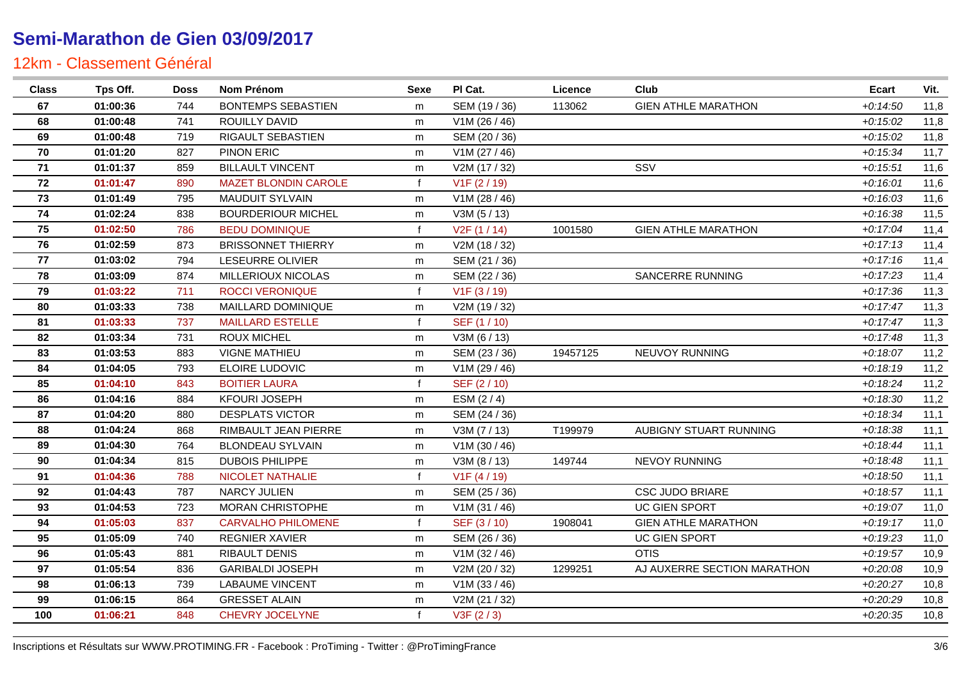| <b>Class</b> | Tps Off. | Doss | Nom Prénom                  | <b>Sexe</b>  | PI Cat.       | Licence  | Club                        | <b>Ecart</b> | Vit. |
|--------------|----------|------|-----------------------------|--------------|---------------|----------|-----------------------------|--------------|------|
| 67           | 01:00:36 | 744  | <b>BONTEMPS SEBASTIEN</b>   | m            | SEM (19 / 36) | 113062   | <b>GIEN ATHLE MARATHON</b>  | $+0:14:50$   | 11,8 |
| 68           | 01:00:48 | 741  | ROUILLY DAVID               | m            | V1M (26 / 46) |          |                             | $+0:15:02$   | 11,8 |
| 69           | 01:00:48 | 719  | RIGAULT SEBASTIEN           | m            | SEM (20 / 36) |          |                             | $+0:15:02$   | 11,8 |
| 70           | 01:01:20 | 827  | PINON ERIC                  | m            | V1M(27/46)    |          |                             | $+0:15:34$   | 11,7 |
| 71           | 01:01:37 | 859  | <b>BILLAULT VINCENT</b>     | m            | V2M (17 / 32) |          | SSV                         | $+0:15:51$   | 11,6 |
| 72           | 01:01:47 | 890  | <b>MAZET BLONDIN CAROLE</b> | $\mathbf{f}$ | V1F(2/19)     |          |                             | $+0.16:01$   | 11,6 |
| 73           | 01:01:49 | 795  | <b>MAUDUIT SYLVAIN</b>      | m            | V1M (28 / 46) |          |                             | $+0.16.03$   | 11,6 |
| 74           | 01:02:24 | 838  | <b>BOURDERIOUR MICHEL</b>   | m            | V3M (5 / 13)  |          |                             | $+0.16.38$   | 11,5 |
| 75           | 01:02:50 | 786  | <b>BEDU DOMINIQUE</b>       | f            | V2F(1/14)     | 1001580  | <b>GIEN ATHLE MARATHON</b>  | $+0:17:04$   | 11,4 |
| 76           | 01:02:59 | 873  | <b>BRISSONNET THIERRY</b>   | m            | V2M (18 / 32) |          |                             | $+0:17:13$   | 11,4 |
| 77           | 01:03:02 | 794  | <b>LESEURRE OLIVIER</b>     | m            | SEM (21 / 36) |          |                             | $+0:17:16$   | 11,4 |
| 78           | 01:03:09 | 874  | <b>MILLERIOUX NICOLAS</b>   | m            | SEM (22 / 36) |          | <b>SANCERRE RUNNING</b>     | $+0:17:23$   | 11,4 |
| 79           | 01:03:22 | 711  | <b>ROCCI VERONIQUE</b>      | $\mathbf{f}$ | V1F(3/19)     |          |                             | $+0:17:36$   | 11,3 |
| 80           | 01:03:33 | 738  | MAILLARD DOMINIQUE          | m            | V2M (19 / 32) |          |                             | $+0:17:47$   | 11,3 |
| 81           | 01:03:33 | 737  | <b>MAILLARD ESTELLE</b>     | $\mathbf{f}$ | SEF (1 / 10)  |          |                             | $+0:17:47$   | 11,3 |
| 82           | 01:03:34 | 731  | <b>ROUX MICHEL</b>          | m            | V3M (6 / 13)  |          |                             | $+0:17:48$   | 11,3 |
| 83           | 01:03:53 | 883  | <b>VIGNE MATHIEU</b>        | m            | SEM (23 / 36) | 19457125 | NEUVOY RUNNING              | $+0.18:07$   | 11,2 |
| 84           | 01:04:05 | 793  | ELOIRE LUDOVIC              | m            | V1M (29 / 46) |          |                             | $+0:18:19$   | 11,2 |
| 85           | 01:04:10 | 843  | <b>BOITIER LAURA</b>        | f            | SEF (2/10)    |          |                             | $+0.18:24$   | 11,2 |
| 86           | 01:04:16 | 884  | <b>KFOURI JOSEPH</b>        | m            | ESM (2/4)     |          |                             | $+0.18.30$   | 11,2 |
| 87           | 01:04:20 | 880  | <b>DESPLATS VICTOR</b>      | m            | SEM (24 / 36) |          |                             | $+0.1834$    | 11,1 |
| 88           | 01:04:24 | 868  | RIMBAULT JEAN PIERRE        | m            | V3M (7 / 13)  | T199979  | AUBIGNY STUART RUNNING      | $+0.18.38$   | 11,1 |
| 89           | 01:04:30 | 764  | <b>BLONDEAU SYLVAIN</b>     | m            | V1M (30 / 46) |          |                             | $+0:18:44$   | 11,1 |
| 90           | 01:04:34 | 815  | <b>DUBOIS PHILIPPE</b>      | m            | V3M (8 / 13)  | 149744   | NEVOY RUNNING               | $+0.18:48$   | 11,1 |
| 91           | 01:04:36 | 788  | <b>NICOLET NATHALIE</b>     | $\mathbf{f}$ | V1F(4/19)     |          |                             | $+0.18.50$   | 11,1 |
| 92           | 01:04:43 | 787  | <b>NARCY JULIEN</b>         | m            | SEM (25 / 36) |          | <b>CSC JUDO BRIARE</b>      | $+0.18.57$   | 11,1 |
| 93           | 01:04:53 | 723  | <b>MORAN CHRISTOPHE</b>     | m            | V1M(31/46)    |          | <b>UC GIEN SPORT</b>        | $+0.19:07$   | 11,0 |
| 94           | 01:05:03 | 837  | <b>CARVALHO PHILOMENE</b>   | $\mathbf{f}$ | SEF (3/10)    | 1908041  | <b>GIEN ATHLE MARATHON</b>  | $+0:19:17$   | 11,0 |
| 95           | 01:05:09 | 740  | <b>REGNIER XAVIER</b>       | m            | SEM (26 / 36) |          | <b>UC GIEN SPORT</b>        | $+0.19.23$   | 11,0 |
| 96           | 01:05:43 | 881  | <b>RIBAULT DENIS</b>        | m            | V1M (32 / 46) |          | <b>OTIS</b>                 | $+0:19:57$   | 10,9 |
| 97           | 01:05:54 | 836  | <b>GARIBALDI JOSEPH</b>     | m            | V2M (20 / 32) | 1299251  | AJ AUXERRE SECTION MARATHON | $+0.20:08$   | 10,9 |
| 98           | 01:06:13 | 739  | <b>LABAUME VINCENT</b>      | m            | V1M(33/46)    |          |                             | $+0:20:27$   | 10,8 |
| 99           | 01:06:15 | 864  | <b>GRESSET ALAIN</b>        | m            | V2M (21 / 32) |          |                             | $+0.20.29$   | 10,8 |
| 100          | 01:06:21 | 848  | CHEVRY JOCELYNE             |              | V3F(2/3)      |          |                             | $+0.20.35$   | 10,8 |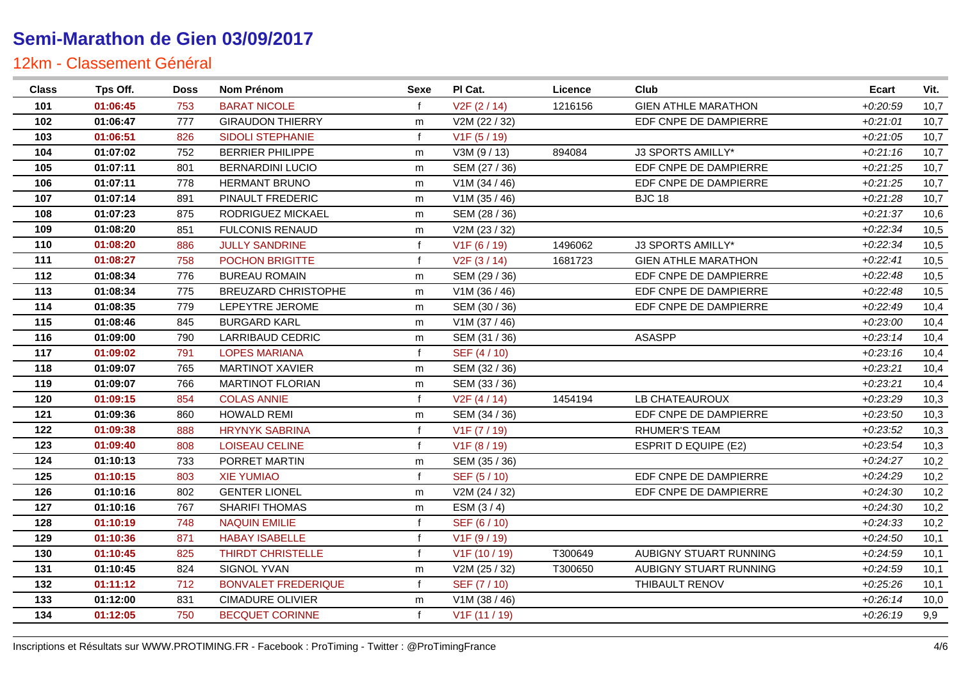| <b>Class</b> | Tps Off. | <b>Doss</b> | Nom Prénom                 | Sexe         | PI Cat.                   | Licence | Club                        | <b>Ecart</b> | Vit. |
|--------------|----------|-------------|----------------------------|--------------|---------------------------|---------|-----------------------------|--------------|------|
| 101          | 01:06:45 | 753         | <b>BARAT NICOLE</b>        |              | V <sub>2</sub> F (2 / 14) | 1216156 | <b>GIEN ATHLE MARATHON</b>  | $+0.20.59$   | 10,7 |
| 102          | 01:06:47 | 777         | <b>GIRAUDON THIERRY</b>    | m            | V2M (22 / 32)             |         | EDF CNPE DE DAMPIERRE       | $+0.21:01$   | 10,7 |
| 103          | 01:06:51 | 826         | <b>SIDOLI STEPHANIE</b>    | $\mathbf f$  | V1F (5 / 19)              |         |                             | $+0.21:05$   | 10,7 |
| 104          | 01:07:02 | 752         | <b>BERRIER PHILIPPE</b>    | m            | V3M (9 / 13)              | 894084  | J3 SPORTS AMILLY*           | $+0.21:16$   | 10,7 |
| 105          | 01:07:11 | 801         | <b>BERNARDINI LUCIO</b>    | m            | SEM (27 / 36)             |         | EDF CNPE DE DAMPIERRE       | $+0.21.25$   | 10,7 |
| 106          | 01:07:11 | 778         | <b>HERMANT BRUNO</b>       | m            | V1M (34 / 46)             |         | EDF CNPE DE DAMPIERRE       | $+0.21.25$   | 10,7 |
| 107          | 01:07:14 | 891         | PINAULT FREDERIC           | m            | V1M (35 / 46)             |         | <b>BJC 18</b>               | $+0.21.28$   | 10,7 |
| 108          | 01:07:23 | 875         | RODRIGUEZ MICKAEL          | m            | SEM (28 / 36)             |         |                             | $+0.21.37$   | 10,6 |
| 109          | 01:08:20 | 851         | <b>FULCONIS RENAUD</b>     | m            | V2M (23 / 32)             |         |                             | $+0:22:34$   | 10,5 |
| 110          | 01:08:20 | 886         | <b>JULLY SANDRINE</b>      | $\mathsf{f}$ | V <sub>1</sub> F (6 / 19) | 1496062 | J3 SPORTS AMILLY*           | $+0.22:34$   | 10,5 |
| 111          | 01:08:27 | 758         | POCHON BRIGITTE            | $\mathbf{f}$ | V2F(3/14)                 | 1681723 | <b>GIEN ATHLE MARATHON</b>  | $+0.22:41$   | 10,5 |
| 112          | 01:08:34 | 776         | <b>BUREAU ROMAIN</b>       | m            | SEM (29 / 36)             |         | EDF CNPE DE DAMPIERRE       | $+0.22:48$   | 10,5 |
| 113          | 01:08:34 | 775         | <b>BREUZARD CHRISTOPHE</b> | m            | V1M (36 / 46)             |         | EDF CNPE DE DAMPIERRE       | $+0.22:48$   | 10,5 |
| 114          | 01:08:35 | 779         | LEPEYTRE JEROME            | m            | SEM (30 / 36)             |         | EDF CNPE DE DAMPIERRE       | $+0.22:49$   | 10,4 |
| 115          | 01:08:46 | 845         | <b>BURGARD KARL</b>        | m            | V1M (37 / 46)             |         |                             | $+0.23:00$   | 10,4 |
| 116          | 01:09:00 | 790         | LARRIBAUD CEDRIC           | m            | SEM (31 / 36)             |         | <b>ASASPP</b>               | $+0.23:14$   | 10,4 |
| 117          | 01:09:02 | 791         | <b>LOPES MARIANA</b>       | $\mathbf{f}$ | SEF (4/10)                |         |                             | $+0.23:16$   | 10,4 |
| 118          | 01:09:07 | 765         | <b>MARTINOT XAVIER</b>     | m            | SEM (32 / 36)             |         |                             | $+0.23.21$   | 10,4 |
| 119          | 01:09:07 | 766         | <b>MARTINOT FLORIAN</b>    | m            | SEM (33 / 36)             |         |                             | $+0.23.21$   | 10,4 |
| 120          | 01:09:15 | 854         | <b>COLAS ANNIE</b>         | $\mathbf{f}$ | V2F(4/14)                 | 1454194 | LB CHATEAUROUX              | $+0.23.29$   | 10,3 |
| 121          | 01:09:36 | 860         | <b>HOWALD REMI</b>         | m            | SEM (34 / 36)             |         | EDF CNPE DE DAMPIERRE       | $+0.23:50$   | 10,3 |
| 122          | 01:09:38 | 888         | <b>HRYNYK SABRINA</b>      | $\mathsf{f}$ | V1F (7 / 19)              |         | <b>RHUMER'S TEAM</b>        | $+0.23:52$   | 10,3 |
| 123          | 01:09:40 | 808         | <b>LOISEAU CELINE</b>      | $\mathbf{f}$ | V1F (8 / 19)              |         | <b>ESPRIT D EQUIPE (E2)</b> | $+0.23.54$   | 10,3 |
| 124          | 01:10:13 | 733         | PORRET MARTIN              | m            | SEM (35 / 36)             |         |                             | $+0.24.27$   | 10,2 |
| 125          | 01:10:15 | 803         | <b>XIE YUMIAO</b>          | $\mathbf{f}$ | SEF (5/10)                |         | EDF CNPE DE DAMPIERRE       | $+0.24.29$   | 10,2 |
| 126          | 01:10:16 | 802         | <b>GENTER LIONEL</b>       | m            | V2M (24 / 32)             |         | EDF CNPE DE DAMPIERRE       | $+0.24.30$   | 10,2 |
| 127          | 01:10:16 | 767         | SHARIFI THOMAS             | m            | ESM (3/4)                 |         |                             | $+0.24.30$   | 10,2 |
| 128          | 01:10:19 | 748         | <b>NAQUIN EMILIE</b>       |              | SEF (6 / 10)              |         |                             | $+0.24.33$   | 10,2 |
| 129          | 01:10:36 | 871         | <b>HABAY ISABELLE</b>      | $\mathbf{f}$ | V1F (9 / 19)              |         |                             | $+0.24:50$   | 10,1 |
| 130          | 01:10:45 | 825         | <b>THIRDT CHRISTELLE</b>   | $\mathbf f$  | V1F (10 / 19)             | T300649 | AUBIGNY STUART RUNNING      | $+0.24.59$   | 10,1 |
| 131          | 01:10:45 | 824         | SIGNOL YVAN                | m            | V2M (25 / 32)             | T300650 | AUBIGNY STUART RUNNING      | $+0.24.59$   | 10,1 |
| 132          | 01:11:12 | 712         | <b>BONVALET FREDERIQUE</b> | $\mathsf{f}$ | SEF (7/10)                |         | THIBAULT RENOV              | $+0.25.26$   | 10,1 |
| 133          | 01:12:00 | 831         | <b>CIMADURE OLIVIER</b>    | m            | V1M (38 / 46)             |         |                             | $+0.26:14$   | 10,0 |
| 134          | 01:12:05 | 750         | <b>BECQUET CORINNE</b>     | f            | V1F (11 / 19)             |         |                             | $+0.26:19$   | 9,9  |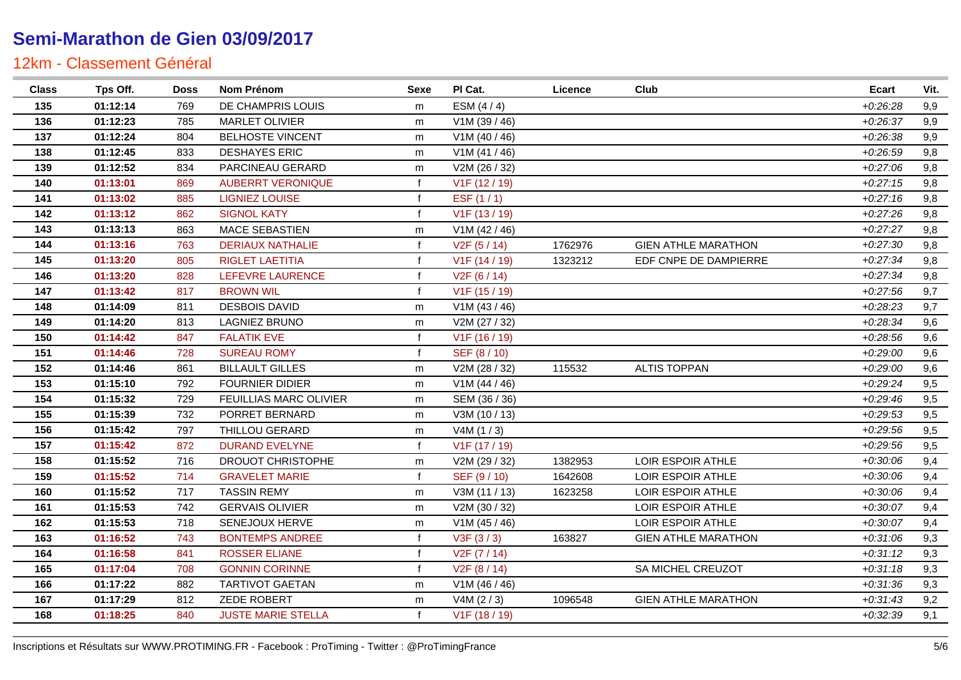| <b>Class</b> | Tps Off. | <b>Doss</b> | Nom Prénom                | Sexe         | PI Cat.                    | <b>Licence</b> | Club                       | <b>Ecart</b> | Vit. |
|--------------|----------|-------------|---------------------------|--------------|----------------------------|----------------|----------------------------|--------------|------|
| 135          | 01:12:14 | 769         | DE CHAMPRIS LOUIS         | m            | ESM $(4/4)$                |                |                            | $+0.26.28$   | 9,9  |
| 136          | 01:12:23 | 785         | <b>MARLET OLIVIER</b>     | m            | V1M (39 / 46)              |                |                            | $+0.26.37$   | 9,9  |
| 137          | 01:12:24 | 804         | <b>BELHOSTE VINCENT</b>   | m            | V1M(40/46)                 |                |                            | $+0.26.38$   | 9,9  |
| 138          | 01:12:45 | 833         | <b>DESHAYES ERIC</b>      | m            | V1M (41 / 46)              |                |                            | $+0.26.59$   | 9,8  |
| 139          | 01:12:52 | 834         | PARCINEAU GERARD          | m            | V2M (26 / 32)              |                |                            | $+0.27:06$   | 9,8  |
| 140          | 01:13:01 | 869         | <b>AUBERRT VERONIQUE</b>  | f            | V <sub>1</sub> F (12 / 19) |                |                            | $+0.27:15$   | 9,8  |
| 141          | 01:13:02 | 885         | <b>LIGNIEZ LOUISE</b>     | $\mathbf f$  | ESF $(1/1)$                |                |                            | $+0.27:16$   | 9,8  |
| 142          | 01:13:12 | 862         | <b>SIGNOL KATY</b>        | $\mathbf{f}$ | V <sub>1</sub> F (13 / 19) |                |                            | $+0.27.26$   | 9,8  |
| 143          | 01:13:13 | 863         | <b>MACE SEBASTIEN</b>     | m            | V1M (42 / 46)              |                |                            | $+0:27:27$   | 9,8  |
| 144          | 01:13:16 | 763         | <b>DERIAUX NATHALIE</b>   | $\mathbf f$  | V2F(5/14)                  | 1762976        | <b>GIEN ATHLE MARATHON</b> | $+0.27:30$   | 9,8  |
| 145          | 01:13:20 | 805         | <b>RIGLET LAETITIA</b>    | $\mathbf{f}$ | V1F (14 / 19)              | 1323212        | EDF CNPE DE DAMPIERRE      | $+0.27.34$   | 9,8  |
| 146          | 01:13:20 | 828         | LEFEVRE LAURENCE          | $\mathbf{f}$ | V2F(6/14)                  |                |                            | $+0.27.34$   | 9,8  |
| 147          | 01:13:42 | 817         | <b>BROWN WIL</b>          | $\mathbf f$  | V1F (15 / 19)              |                |                            | $+0.27:56$   | 9,7  |
| 148          | 01:14:09 | 811         | <b>DESBOIS DAVID</b>      | m            | V1M(43/46)                 |                |                            | $+0.28.23$   | 9,7  |
| 149          | 01:14:20 | 813         | LAGNIEZ BRUNO             | m            | V2M (27 / 32)              |                |                            | $+0.28.34$   | 9,6  |
| 150          | 01:14:42 | 847         | <b>FALATIK EVE</b>        | $\mathsf{f}$ | V1F (16 / 19)              |                |                            | $+0.28:56$   | 9,6  |
| 151          | 01:14:46 | 728         | <b>SUREAU ROMY</b>        | $\mathbf{f}$ | SEF (8 / 10)               |                |                            | $+0.29:00$   | 9,6  |
| 152          | 01:14:46 | 861         | <b>BILLAULT GILLES</b>    | m            | V2M (28 / 32)              | 115532         | <b>ALTIS TOPPAN</b>        | $+0.29:00$   | 9,6  |
| 153          | 01:15:10 | 792         | <b>FOURNIER DIDIER</b>    | m            | V1M (44 / 46)              |                |                            | $+0.29.24$   | 9,5  |
| 154          | 01:15:32 | 729         | FEUILLIAS MARC OLIVIER    | m            | SEM (36 / 36)              |                |                            | $+0.29:46$   | 9,5  |
| 155          | 01:15:39 | 732         | PORRET BERNARD            | m            | V3M (10 / 13)              |                |                            | $+0.29.53$   | 9,5  |
| 156          | 01:15:42 | 797         | <b>THILLOU GERARD</b>     | m            | V4M(1/3)                   |                |                            | $+0.29.56$   | 9,5  |
| 157          | 01:15:42 | 872         | <b>DURAND EVELYNE</b>     | $\mathbf{f}$ | V <sub>1</sub> F (17 / 19) |                |                            | $+0.29.56$   | 9,5  |
| 158          | 01:15:52 | 716         | DROUOT CHRISTOPHE         | m            | V2M (29 / 32)              | 1382953        | LOIR ESPOIR ATHLE          | $+0.30:06$   | 9,4  |
| 159          | 01:15:52 | 714         | <b>GRAVELET MARIE</b>     | f            | SEF (9/10)                 | 1642608        | LOIR ESPOIR ATHLE          | $+0.30:06$   | 9,4  |
| 160          | 01:15:52 | 717         | <b>TASSIN REMY</b>        | m            | V3M (11 / 13)              | 1623258        | LOIR ESPOIR ATHLE          | $+0.30:06$   | 9,4  |
| 161          | 01:15:53 | 742         | <b>GERVAIS OLIVIER</b>    | m            | V2M (30 / 32)              |                | LOIR ESPOIR ATHLE          | $+0:30:07$   | 9,4  |
| 162          | 01:15:53 | 718         | SENEJOUX HERVE            | m            | V1M (45 / 46)              |                | LOIR ESPOIR ATHLE          | $+0.30:07$   | 9,4  |
| 163          | 01:16:52 | 743         | <b>BONTEMPS ANDREE</b>    | $\mathbf{f}$ | V3F(3/3)                   | 163827         | <b>GIEN ATHLE MARATHON</b> | $+0.31.06$   | 9,3  |
| 164          | 01:16:58 | 841         | <b>ROSSER ELIANE</b>      | $\mathbf f$  | V2F (7 / 14)               |                |                            | $+0:31:12$   | 9,3  |
| 165          | 01:17:04 | 708         | <b>GONNIN CORINNE</b>     | $\mathbf{f}$ | V2F(8/14)                  |                | SA MICHEL CREUZOT          | $+0:31:18$   | 9,3  |
| 166          | 01:17:22 | 882         | <b>TARTIVOT GAETAN</b>    | m            | V1M (46 / 46)              |                |                            | $+0.31.36$   | 9,3  |
| 167          | 01:17:29 | 812         | ZEDE ROBERT               | m            | V4M (2 / 3)                | 1096548        | <b>GIEN ATHLE MARATHON</b> | $+0.31.43$   | 9,2  |
| 168          | 01:18:25 | 840         | <b>JUSTE MARIE STELLA</b> | $\mathbf{f}$ | V1F (18 / 19)              |                |                            | $+0.32.39$   | 9,1  |